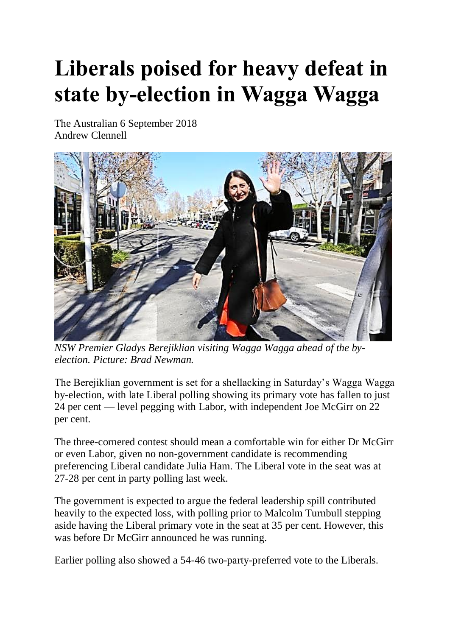## **Liberals poised for heavy defeat in state by-election in Wagga Wagga**

The Australian 6 September 2018 Andrew Clennell



*NSW Premier Gladys Berejiklian visiting Wagga Wagga ahead of the byelection. Picture: Brad Newman.*

The Berejiklian government is set for a shellacking in Saturday's Wagga Wagga by-election, with late Liberal polling showing its primary vote has fallen to just 24 per cent — level pegging with Labor, with independent Joe McGirr on 22 per cent.

The three-cornered contest should mean a comfortable win for either Dr McGirr or even Labor, given no non-government candidate is recommending preferencing Liberal candidate Julia Ham. The Liberal vote in the seat was at 27-28 per cent in party polling last week.

The government is expected to argue the federal leadership spill contributed heavily to the expected loss, with polling prior to Malcolm Turnbull stepping aside having the Liberal primary vote in the seat at 35 per cent. However, this was before Dr McGirr announced he was running.

Earlier polling also showed a 54-46 two-party-preferred vote to the Liberals.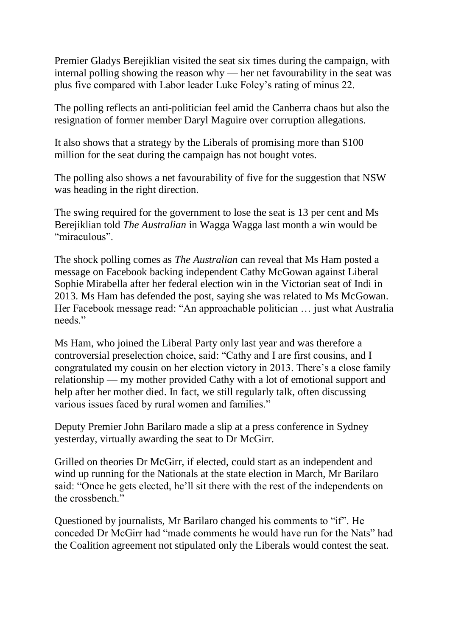Premier Gladys Berejiklian visited the seat six times during the campaign, with internal polling showing the reason why — her net favourability in the seat was plus five compared with Labor leader Luke Foley's rating of minus 22.

The polling reflects an anti-politician feel amid the Canberra chaos but also the resignation of former member Daryl Maguire over corruption allegations.

It also shows that a strategy by the Liberals of promising more than \$100 million for the seat during the campaign has not bought votes.

The polling also shows a net favourability of five for the suggestion that NSW was heading in the right direction.

The swing required for the government to lose the seat is 13 per cent and Ms Berejiklian told *The Australian* in Wagga Wagga last month a win would be "miraculous".

The shock polling comes as *The Australian* can reveal that Ms Ham posted a message on Facebook backing independent Cathy McGowan against Liberal Sophie Mirabella after her federal election win in the Victorian seat of Indi in 2013. Ms Ham has defended the post, saying she was related to Ms McGowan. Her Facebook message read: "An approachable politician … just what Australia needs"

Ms Ham, who joined the Liberal Party only last year and was therefore a controversial preselection choice, said: "Cathy and I are first cousins, and I congratulated my cousin on her election victory in 2013. There's a close family relationship — my mother provided Cathy with a lot of emotional support and help after her mother died. In fact, we still regularly talk, often discussing various issues faced by rural women and families."

Deputy Premier John Barilaro made a slip at a press conference in Sydney yesterday, virtually awarding the seat to Dr McGirr.

Grilled on theories Dr McGirr, if elected, could start as an independent and wind up running for the Nationals at the state election in March, Mr Barilaro said: "Once he gets elected, he'll sit there with the rest of the independents on the crossbench."

Questioned by journalists, Mr Barilaro changed his comments to "if". He conceded Dr McGirr had "made comments he would have run for the Nats" had the Coalition agreement not stipulated only the Liberals would contest the seat.